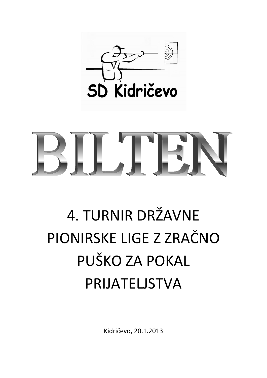

# BILTET

# 4. TURNIR DRŽAVNE PIONIRSKE LIGE Z ZRAČNO PUŠKO ZA POKAL PRIJATELJSTVA

Kidričevo, 20.1.2013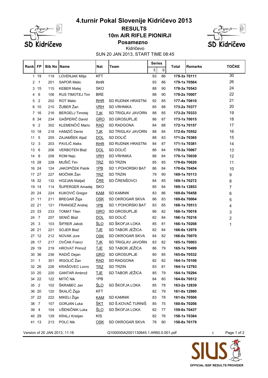

#### **10m AIR RIFLE PIONIRJI RESULTS**





Kidričevo

SUN 20 JAN 2013, START TIME 08:45

| Rank            | FP             | <b>Bib No   Name</b> |                               | Nat        | Team                                 | <b>Series</b> |    | Total        | <b>Remarks</b> |   | <b>TOČKE</b>   |
|-----------------|----------------|----------------------|-------------------------------|------------|--------------------------------------|---------------|----|--------------|----------------|---|----------------|
|                 |                |                      |                               |            |                                      | 5             | 6  |              |                |   |                |
| $\mathbf{1}$    | 19             | 119                  | LOVENJAK Mitja                | KFT        |                                      | 93            | 86 | 179-3x 70111 |                |   | 30             |
| 2               | $\mathbf{1}$   | 201                  | <b>SAPOR Matic</b>            | <b>RHR</b> |                                      | 93            | 86 | 179-1x 70564 |                |   | 26             |
| 3               | 15             | 115                  | <b>KEBER Matej</b>            | <b>SKO</b> |                                      | 88            | 90 | 178-3x 70543 |                |   | 24             |
| 4               | 6              | 106                  | <b>RUS TIMOTEJ Tim</b>        | <b>BRE</b> |                                      | 88            | 90 | 178-2x 70007 |                |   | 22             |
| 5               | 2              | 202                  | <b>ROT Matic</b>              | RHR        | <b>SD RUDNIK HRASTNI</b>             | 92            | 85 | 177-4x 70610 |                |   | 21             |
| 6               | 10             | 210                  | ŽUBER Žan                     | <b>VRH</b> | <b>SD VRHNIKA</b>                    | 85            | 88 | 173-2x 70377 |                |   | 20             |
| 7               | 16             | 216                  | <b>BERGELJ Timotej</b>        | <b>TJK</b> | SD TRIGLAV JAVORN                    | 88            | 85 | 173-2x 70333 |                |   | 19             |
| 8               | 34             | 234                  | GAŠPERIČ David                | <b>GRO</b> | SD GROSUPLJE                         | 86            | 87 | 173-1x 70015 |                |   | 18             |
| 9               | $\overline{2}$ | 302                  | KLEMENČIČ Mario               | <b>RAD</b> | <b>SD RADGONA</b>                    | 84            | 88 | 172-1x 70157 |                |   | 17             |
| 10              | 18             | 218                  | HAMZIČ Denis                  | <b>TJK</b> | SD TRIGLAV JAVORN                    | 88            | 84 | 172-0x 70552 |                |   | 16             |
| 11              | 5              | 205                  | ZAJAMŠEK Aljaž                | <b>DOL</b> | SD DOLIČ                             | 88            | 83 | 171-2x 70365 |                |   | 15             |
| 12              | 3              | 203                  | PAVLIČ Aleks                  | RHR        | SD RUDNIK HRASTNI                    | 84            | 87 | 171-1x 70381 |                |   | 14             |
| 13              | 6              | 206                  | <b>VERBOTEN Blaž</b>          | <b>DOL</b> | SD DOLIČ                             | 86            | 84 | 170-3x 70067 |                |   | 13             |
| 14              | 8              | 208                  | ROM Nejc                      | <b>VRH</b> | <b>SD VRHNIKA</b>                    | 86            | 84 | 170-1x 70039 |                |   | 12             |
|                 | 15 28          | 228                  | MUŠIČ Tim                     | <b>TRZ</b> | <b>SD TRZIN</b>                      | 85            | 85 | 170-0x 70620 |                |   | 11             |
| 16              | 24             | 124                  | JAKOPIČEK Patrik              | 1PB        | SD 1.POHORSKI BAT                    | 86            | 84 | 170-0x 70454 |                |   | 10             |
| 17 <sub>2</sub> | 27             | 227                  | MOČNIK Žan                    | <b>TRZ</b> | <b>SD TRZIN</b>                      | 79            | 90 | 169-1x 70113 |                |   | 9              |
| 18              | 32             | 132                  | HOZJAN Matjaž                 | <u>ČRE</u> | SD ČRENŠOVCI                         | 84            | 85 | 169-1x 70272 |                |   | 8              |
| 19              | 14             | 114                  | ŠUPERGER Amadej               | <b>SKO</b> |                                      | 85            | 84 | 169-1x 12853 |                |   | 7              |
| 20              | 24             | 224                  | KUKOVIČ Gregor                | <b>KAM</b> | <b>SD KAMNIK</b>                     | 83            | 86 | 169-0x 70458 |                |   | 6              |
| 21              | 11             | 211                  | <b>BREGAR</b> Žiga            | <b>OSK</b> | SD OKROGAR SKVA                      | 86            | 83 | 169-0x 70004 |                |   | 5              |
|                 | 22 21          | 121                  | FRANGEŽ Andrej                | $1$ PB     | SD 1. POHORSKI BAT                   | 83            | 85 | 168-1x 70513 |                |   | 4              |
| 23              | 33             | 233                  | <b>TOMAT Tilen</b>            | <b>GRO</b> | SD GROSUPLJE                         | 86            | 82 | 168-1x 70018 |                |   | 3              |
| 24              | $\overline{7}$ | 207                  | SENIČ Blaž                    | DOL        | SD DOLIČ                             | 82            | 84 | 166-1x 70216 |                |   | $\overline{2}$ |
| 25              | 3              | 103                  | ŠIFRER Jakob                  | <u>ŠLO</u> | SD ŠKOFJA LOKA                       | 85            | 81 | 166-1x 70208 |                |   | 1              |
|                 | 26 21          | 221                  | SOJER Blaž                    | <b>TJE</b> | SD TABOR JEŽICA                      | 82            | 84 | 166-0x 12978 |                |   |                |
|                 | 27 12          | 212                  | NOVAK Jure                    | <b>OSK</b> | SD OKROGAR SKVA                      | 84            | 82 | 166-0x 70079 |                |   |                |
| 28              | 17             | 217                  | OVČAK Franci                  | <b>TJK</b> | SD TRIGLAV JAVORN                    | 83            | 82 | 165-1x 70003 |                |   |                |
| 29              | 19             | 219                  | <b>HROVAT Primož</b>          | <b>TJE</b> | SD TABOR JEŽICA                      | 86            | 79 | 165-1x 70499 |                |   |                |
| 30              | 36             | 236                  | RADIČ Dejan                   | <b>GRO</b> | SD GROSUPLJE                         | 80            | 85 | 165-0x 70532 |                |   |                |
| 31              | $\overline{1}$ | 301                  | IRGOLIČ Žan                   | <b>RAD</b> | <b>SD RADGONA</b>                    | 82            | 82 | 164-1x 70108 |                |   |                |
|                 | 32 26          | 226                  | KRAŠOVEC Lovro                | <u>TRZ</u> | <b>SD TRZIN</b>                      | 83            | 81 | 164-1x 12793 |                |   |                |
|                 | 33 20          | 220                  | <b>GANTAR Ambrož</b>          | <b>TJE</b> | SD TABOR JEŽICA                      | 85            | 79 | 164-1x 70294 |                |   |                |
|                 | 34 22          | 122                  | MITIČ Nik                     | 1PB        |                                      | 84            | 80 | 164-0x 70512 |                |   |                |
| 35              | $\overline{2}$ | 102                  | ŠKRABEC Jan                   | <u>ŠLO</u> | SD ŠKOFJA LOKA                       | 85            | 78 | 163-2x 12839 |                |   |                |
|                 | 36 20          | 120                  | ŠKALIČ Žiga                   | KFT        |                                      | 82            | 79 | 161-0x 12980 |                |   |                |
|                 | 37 22          | 222                  | MIKELI Žiga                   | <b>KAM</b> | <b>SD KAMNIK</b>                     | 83            | 78 | 161-0x 70506 |                |   |                |
| 38              | - 7            | 107                  | <b>GORJAN Luka</b>            | <u>ŠKT</u> | SD Š.KOVAČ TURNIŠ                    | 85            | 75 | 160-0x 70206 |                |   |                |
| 39              | $\overline{4}$ | 104                  | UŠENIČNIK Luka                | <u>ŠLO</u> | SD ŠKOFJA LOKA                       | 82            | 77 | 159-0x 70437 |                |   |                |
|                 | 40 29          | 129                  | <b>KRALJ Kristjan</b>         | <b>KIS</b> |                                      | 82            | 76 | 158-1x 70364 |                |   |                |
|                 | 41 13          | 213                  | POLC Nik                      | <b>OSK</b> | SD OKROGAR SKVA                      | 78            | 80 | 158-0x 70179 |                |   |                |
|                 |                |                      |                               |            |                                      |               |    |              |                |   |                |
|                 |                |                      | Version of 20 JAN 2013, 11:16 |            | Q100000IA2001130845.1.AR60.0.001.pdf |               |    |              |                | 1 | Page 1 of 2    |

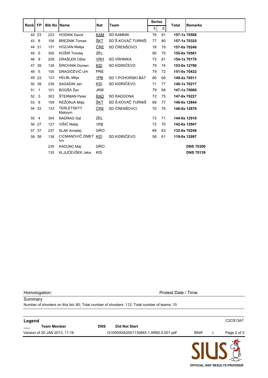|      | <b>FP</b>      | <b>Bib No Name</b> |                             | Nat        |                    | <b>Series</b> |    | <b>Total</b> | <b>Remarks</b>   |
|------|----------------|--------------------|-----------------------------|------------|--------------------|---------------|----|--------------|------------------|
| Rank |                |                    |                             |            | Team               | 5             | 6  |              |                  |
|      | 42 23          | 223                | <b>HODNIK David</b>         | <b>KAM</b> | <b>SD KAMNIK</b>   | 76            | 81 | 157-1x 70508 |                  |
| 43   | 8              | 108                | <b>BREZNIK Tomas</b>        | <u>ŠKT</u> | SD Š.KOVAČ TURNIŠ  | 77            | 80 | 157-1x 70325 |                  |
|      | 44 31          | 131                | <b>HOZJAN Matija</b>        | <u>ČRE</u> | SD ČRENŠOVCI       | 78            | 79 | 157-0x 70240 |                  |
| 45   | 5              | 305                | KOŠIR Timotej               | <b>ZEL</b> |                    | 80            | 75 | 155-0x 70581 |                  |
| 46   | 9              | 209                | DRAŠLER Ožbe                | <b>VRH</b> | <b>SD VRHNIKA</b>  | 73            |    | 154-1x 70170 |                  |
| 47   | 39             | 139                | ŠIROVNIK Domen              | <b>KID</b> | SD KIDRIČEVO       | 79            | 74 | 153-0x 12790 |                  |
| 48   | 5              | 105                | DRAGIČEVIČ Urh              | <b>PRE</b> |                    | 79            | 72 | 151-0x 70432 |                  |
| 49   | 23             | 123                | <b>HELBL Mitja</b>          | 1PB        | SD 1. POHORSKI BAT | 80            | 69 | 149-2x 70511 |                  |
| 50   | 39             | 239                | SAGADIN Jan                 | <b>KID</b> | SD KIDRIČEVO       | 71            | 77 | 148-1x 70217 |                  |
| 51   | $\mathbf{1}$   | 101                | BOGŠA Žan                   | <b>JKM</b> |                    | 79            | 68 | 147-1x 70060 |                  |
| 52   | 3              | 303                | ŠTERMAN Peter               | <b>RAD</b> | <b>SD RADGONA</b>  | 72            | 75 | 147-0x 70227 |                  |
| 53   | 9              | 109                | REŽONJA Mitja               | <u>ŠKT</u> | SD Š.KOVAČ TURNIŠ  | 69            | 77 | 146-0x 12844 |                  |
|      | 54 33          | 133                | <b>TERLETSKYY</b><br>Maksym | <u>ČRE</u> | SD ČRENŠOVCI       | 70            | 76 | 146-0x 12876 |                  |
| 55   | $\overline{4}$ | 304                | <b>NADRAG Gal</b>           | <b>ZEL</b> |                    | 73            | 71 | 144-0x 12918 |                  |
|      | 56 27          | 127                | VIŠIČ Matej                 | 1PB        |                    | 72            | 70 | 142-0x 12947 |                  |
| 57   | 37             | 237                | <b>SLAK Amadei</b>          | <b>GRO</b> |                    | 69            | 63 | 132-0x 70248 |                  |
|      | 58 38          | 138                | CICMANOVIČ ZIMET<br>Ivo     | KID        | SD KIDRIČEVO       | 58            | 61 | 119-0x 12997 |                  |
|      |                | 235                | <b>KADUNC Maj</b>           | <b>GRO</b> |                    |               |    |              | <b>DNS 70300</b> |
|      |                | 130                | KLJUČEVŠEK Jaka             | <b>KIS</b> |                    |               |    |              | <b>DNS 70139</b> |

Homologation: Protest Date / Time:

**Summary** Number of shooters on this list: 60; Total number of shooters: 112; Total number of teams: 15

| Legend                        |            |                                      |             | C2C813A7    |
|-------------------------------|------------|--------------------------------------|-------------|-------------|
| <b>Team Member</b>            | <b>DNS</b> | <b>Did Not Start</b>                 |             |             |
| Version of 20 JAN 2013, 11:16 |            | Q100000IA2001130845.1.AR60.0.001.pdf | <b>B54F</b> | Page 2 of 2 |
|                               |            |                                      |             |             |

**OFFICIAL ISSF RESULTS PROVIDER**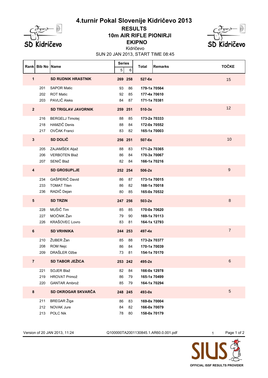

## **EKIPNO 10m AIR RIFLE PIONIRJI RESULTS**



SUN 20 JAN 2013, START TIME 08:45 Kidričevo

| <b>Rank</b>             | <b>Bib No Name</b> |                                  | <b>Series</b><br>5 | 6        | <b>Total</b>                 | <b>Remarks</b> | <b>TOČKE</b>     |
|-------------------------|--------------------|----------------------------------|--------------------|----------|------------------------------|----------------|------------------|
| $\mathbf{1}$            |                    | <b>SD RUDNIK HRASTNIK</b>        |                    | 269 258  | $527 - 6x$                   |                | 15               |
|                         | 201                | <b>SAPOR Matic</b>               | 93                 | 86       | 179-1x 70564                 |                |                  |
|                         | 202<br>203         | <b>ROT Matic</b><br>PAVLIČ Aleks | 92<br>84           | 85<br>87 | 177-4x 70610<br>171-1x 70381 |                |                  |
|                         |                    |                                  |                    |          |                              |                |                  |
| $\overline{2}$          |                    | <b>SD TRIGLAV JAVORNIK</b>       |                    | 259 251  | $510-3x$                     |                | 12               |
|                         | 216                | <b>BERGELJ Timotej</b>           | 88                 | 85       |                              | 173-2x 70333   |                  |
|                         | 218                | HAMZIČ Denis                     | 88                 | 84       | 172-0x 70552                 |                |                  |
|                         | 217                | OVČAK Franci                     | 83                 | 82       | 165-1x 70003                 |                |                  |
| $\mathbf{3}$            |                    | SD DOLIČ                         |                    | 256 251  | 507-6x                       |                | 10               |
|                         | 205                | ZAJAMŠEK Aljaž                   | 88                 | 83       | 171-2x 70365                 |                |                  |
|                         | 206                | VERBOTEN Blaž                    | 86                 | 84       |                              | 170-3x 70067   |                  |
|                         | 207                | SENIČ Blaž                       | 82                 | 84       |                              | 166-1x 70216   |                  |
| $\overline{\mathbf{4}}$ |                    | <b>SD GROSUPLJE</b>              |                    | 252 254  | $506-2x$                     |                | $\boldsymbol{9}$ |
|                         | 234                | GAŠPERIČ David                   | 86                 | 87       | 173-1x 70015                 |                |                  |
|                         | 233                | <b>TOMAT Tilen</b>               | 86                 | 82       |                              | 168-1x 70018   |                  |
|                         | 236                | RADIČ Dejan                      | 80                 | 85       |                              | 165-0x 70532   |                  |
| $5\phantom{1}$          |                    | <b>SD TRZIN</b>                  |                    | 247 256  | $503-2x$                     |                | $\,8\,$          |
|                         | 228                | MUŠIČ Tim                        | 85                 | 85       |                              | 170-0x 70620   |                  |
|                         | 227                | MOČNIK Žan                       | 79                 | 90       | 169-1x 70113                 |                |                  |
|                         | 226                | KRAŠOVEC Lovro                   | 83                 | 81       |                              | 164-1x 12793   |                  |
| $\bf 6$                 |                    | <b>SD VRHNIKA</b>                |                    | 244 253  | 497-4x                       |                | $\overline{7}$   |
|                         | 210                | ŽUBER Žan                        | 85                 | 88       | 173-2x 70377                 |                |                  |
|                         | 208                | ROM Nejc                         | 86                 | 84       | 170-1x 70039                 |                |                  |
|                         | 209                | DRAŠLER Ožbe                     | 73                 | 81       | 154-1x 70170                 |                |                  |
| $\mathbf{7}$            |                    | <b>SD TABOR JEŽICA</b>           |                    | 253 242  | 495-2x                       |                | 6                |
|                         | 221                | SOJER Blaž                       | 82                 | 84       |                              | 166-0x 12978   |                  |
|                         | 219                | HROVAT Primož                    | 86                 | 79       | 165-1x 70499                 |                |                  |
|                         | 220                | <b>GANTAR Ambrož</b>             | 85                 | 79       |                              | 164-1x 70294   |                  |
| $\bf 8$                 |                    | SD OKROGAR SKVARČA               |                    | 248 245  | 493-0x                       |                | 5                |
|                         | 211                | <b>BREGAR</b> Žiga               | 86                 | 83       |                              | 169-0x 70004   |                  |
|                         | 212                | NOVAK Jure                       | 84                 | 82       |                              | 166-0x 70079   |                  |
|                         | 213                | POLC Nik                         | 78                 | 80       |                              | 158-0x 70179   |                  |

Version of 20 JAN 2013, 11:24 Q100000TA2001130845.1.AR60.0.001.pdf 1 Page 1 of 2

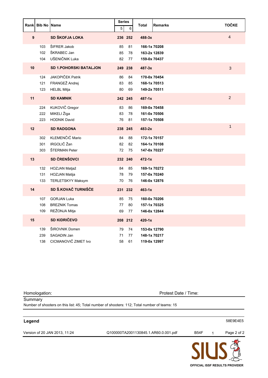| Rankl            | <b>Bib No Name</b> |                                                                 | <b>Series</b><br>5 | 6              | <b>Total</b><br><b>Remarks</b>               | <b>TOČKE</b>   |
|------------------|--------------------|-----------------------------------------------------------------|--------------------|----------------|----------------------------------------------|----------------|
| $\boldsymbol{9}$ |                    | SD ŠKOFJA LOKA                                                  |                    | 236 252        | $488 - 3x$                                   | $\overline{4}$ |
|                  | 103<br>102<br>104  | ŠIFRER Jakob<br>ŠKRABEC Jan<br>UŠENIČNIK Luka                   | 85<br>85<br>82     | 81<br>78<br>77 | 166-1x 70208<br>163-2x 12839<br>159-0x 70437 |                |
| 10               |                    | <b>SD 1.POHORSKI BATALJON</b>                                   |                    | 249 238        | $487 - 3x$                                   | 3              |
|                  | 124<br>121<br>123  | <b>JAKOPIČEK Patrik</b><br>FRANGEŽ Andrej<br><b>HELBL Mitja</b> | 86<br>83<br>80     | 84<br>85<br>69 | 170-0x 70454<br>168-1x 70513<br>149-2x 70511 |                |
| 11               |                    | <b>SD KAMNIK</b>                                                |                    | 242 245        | $487 - 1x$                                   | $\overline{2}$ |
|                  | 224<br>222<br>223  | KUKOVIČ Gregor<br>MIKELI Žiga<br><b>HODNIK David</b>            | 83<br>83<br>76     | 86<br>78<br>81 | 169-0x 70458<br>161-0x 70506<br>157-1x 70508 |                |
| 12               |                    | <b>SD RADGONA</b>                                               |                    | 238 245        | $483 - 2x$                                   | $\overline{1}$ |
|                  | 302<br>301<br>303  | KLEMENČIČ Mario<br>IRGOLIČ Žan<br>ŠTERMAN Peter                 | 84<br>82<br>72     | 88<br>82<br>75 | 172-1x 70157<br>164-1x 70108<br>147-0x 70227 |                |
| 13               |                    | <b>SD ČRENŠOVCI</b>                                             |                    | 232 240        | $472 - 1x$                                   |                |
|                  | 132<br>131<br>133  | HOZJAN Matjaž<br><b>HOZJAN Matija</b><br>TERLETSKYY Maksym      | 84<br>78<br>70     | 85<br>79<br>76 | 169-1x 70272<br>157-0x 70240<br>146-0x 12876 |                |
| 14               |                    | SD Š.KOVAČ TURNIŠČE                                             |                    | 231 232        | $463 - 1x$                                   |                |
|                  | 107<br>108<br>109  | <b>GORJAN Luka</b><br><b>BREZNIK Tomas</b><br>REŽONJA Mitja     | 85<br>77<br>69     | 75<br>80<br>77 | 160-0x 70206<br>157-1x 70325<br>146-0x 12844 |                |
| 15               |                    | <b>SD KIDRIČEVO</b>                                             |                    | 208 212        | $420-1x$                                     |                |
|                  | 139<br>239<br>138  | ŠIROVNIK Domen<br>SAGADIN Jan<br>CICMANOVIČ ZIMET Ivo           | 79<br>71<br>58     | 74<br>77<br>61 | 153-0x 12790<br>148-1x 70217<br>119-0x 12997 |                |

Homologation: Protest Date / Time:

**Summary** Number of shooters on this list: 45; Total number of shooters: 112; Total number of teams: 15

#### **Legend** 58E9E4E5

Version of 20 JAN 2013, 11:24 Q100000TA2001130845.1.AR60.0.001.pdf B54F 1 Page 2 of 2

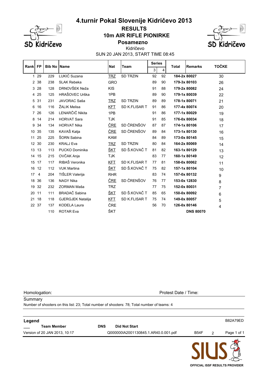

#### **10m AIR RIFLE PIONIRKE RESULTS**



**Posamezno**

SUN 20 JAN 2013, START TIME 08:45 Kidričevo

| 3<br>4<br>LUKIĆ Suzana<br><b>TRZ</b><br><b>SD TRZIN</b><br>1 29<br>92<br>92<br>184-2x 80027<br>229<br>30<br>38<br>90<br>238<br><b>SLAK Rebeka</b><br><b>GRO</b><br>89<br>179-3x 80103<br>2<br>26<br>DRNOVŠEK Neža<br><b>KIS</b><br>28<br>88<br>179-2x 80082<br>3<br>128<br>91<br>24<br>HRAŠOVEC Urška<br>25<br>90<br>179-1x 80039<br>125<br>1PB<br>89<br>4<br>22<br>JAVORAC Saša<br>31<br><u>TRZ</u><br><b>SD TRZIN</b><br>89<br>89<br>178-1x 80071<br>5<br>231<br>21<br>ŽALIK Melisa<br>16<br>116<br>SD K.FLISAR T<br>86<br>6<br><b>KFT</b><br>91<br>177-4x 80074<br>20<br>LENARČIČ Nikita<br>1PB<br>177-1x 80029<br>26<br>126<br>91<br>86<br>$\overline{7}$<br>19<br>14<br><b>HORVAT Sara</b><br><b>TJK</b><br>91<br>85<br>176-0x 80034<br>8<br>214<br>18<br>SD ČRENŠOV<br>ČRE<br><b>HORVAT Nika</b><br>87<br>174-1x 80106<br>34<br>87<br>9<br>134<br>17<br>SD ČRENŠOV<br>KAVAŠ Katja<br><u>ČRE</u><br>35<br>135<br>89<br>84<br>173-1x 80130<br>10<br>16<br>ŠORN Sabina<br><b>KAM</b><br>25<br>84<br>89<br>173-0x 80145<br>11<br>225<br>15<br>30<br><b>SD TRZIN</b><br><b>KRALJ Eva</b><br><b>TRZ</b><br>80<br>84<br>164-2x 80069<br>12<br>230<br>14<br>SD Š.KOVAČ T<br><u>ŠKT</u><br>13<br><b>PUCKO Dominika</b><br>81<br>82<br>163-1x 80129<br>13<br>113<br>13<br>OVČAK Anja<br>15<br><b>TJK</b><br>83<br>77<br>160-1x 80149<br>215<br>14<br>12<br>RIBAŠ Veronika<br><b>KFT</b><br>SD K.FLISAR T<br>158-0x 80062<br>17<br>117<br>77<br>81<br>15<br>11<br>SD Š.KOVAČ T<br><u>ŠKT</u><br>12<br><b>VUK Martina</b><br>75<br>82<br>157-1x 80104<br>16<br>112<br>10<br>TIŠLER Valerija<br>17<br>204<br><b>RHR</b><br>83<br>74<br>157-0x 80132<br>4<br>9<br>SD ČRENŠOV<br>ČRE<br>36<br><b>NAGY Nika</b><br>76<br>77<br>18<br>136<br>153-0x 12830<br>8<br>32<br>ZORMAN Maša<br><b>TRZ</b><br>232<br>77<br>75<br>152-0x 80031<br>19<br>7<br><b>BRADAČ</b> Sabina<br>SD Š.KOVAČ T<br>ŠKT<br>65<br>11<br>111<br>85<br>150-0x 80092<br>20<br>6<br><b>GJERGJEK Natalija</b><br>18<br><b>KFT</b><br>SD K.FLISAR T<br>149-0x 80057<br>118<br>21<br>75<br>74<br>5<br>ČRE<br>22 37<br>56<br><b>KODELA Laura</b><br>70<br>126-0x 80146<br>137<br>4<br>ŠKT<br><b>ROTAR Eva</b><br>110<br><b>DNS 80070</b> | Rankl | <b>FP</b> | <b>Bib No</b> | <b>Name</b> | <b>Nat</b> | <b>Team</b> |  | <b>Series</b><br>Total |  | <b>Remarks</b> | <b>TOČKE</b> |
|---------------------------------------------------------------------------------------------------------------------------------------------------------------------------------------------------------------------------------------------------------------------------------------------------------------------------------------------------------------------------------------------------------------------------------------------------------------------------------------------------------------------------------------------------------------------------------------------------------------------------------------------------------------------------------------------------------------------------------------------------------------------------------------------------------------------------------------------------------------------------------------------------------------------------------------------------------------------------------------------------------------------------------------------------------------------------------------------------------------------------------------------------------------------------------------------------------------------------------------------------------------------------------------------------------------------------------------------------------------------------------------------------------------------------------------------------------------------------------------------------------------------------------------------------------------------------------------------------------------------------------------------------------------------------------------------------------------------------------------------------------------------------------------------------------------------------------------------------------------------------------------------------------------------------------------------------------------------------------------------------------------------------------------------------------------------------------------------------------------------------------------------------------------------------------------------|-------|-----------|---------------|-------------|------------|-------------|--|------------------------|--|----------------|--------------|
|                                                                                                                                                                                                                                                                                                                                                                                                                                                                                                                                                                                                                                                                                                                                                                                                                                                                                                                                                                                                                                                                                                                                                                                                                                                                                                                                                                                                                                                                                                                                                                                                                                                                                                                                                                                                                                                                                                                                                                                                                                                                                                                                                                                             |       |           |               |             |            |             |  |                        |  |                |              |
|                                                                                                                                                                                                                                                                                                                                                                                                                                                                                                                                                                                                                                                                                                                                                                                                                                                                                                                                                                                                                                                                                                                                                                                                                                                                                                                                                                                                                                                                                                                                                                                                                                                                                                                                                                                                                                                                                                                                                                                                                                                                                                                                                                                             |       |           |               |             |            |             |  |                        |  |                |              |
|                                                                                                                                                                                                                                                                                                                                                                                                                                                                                                                                                                                                                                                                                                                                                                                                                                                                                                                                                                                                                                                                                                                                                                                                                                                                                                                                                                                                                                                                                                                                                                                                                                                                                                                                                                                                                                                                                                                                                                                                                                                                                                                                                                                             |       |           |               |             |            |             |  |                        |  |                |              |
|                                                                                                                                                                                                                                                                                                                                                                                                                                                                                                                                                                                                                                                                                                                                                                                                                                                                                                                                                                                                                                                                                                                                                                                                                                                                                                                                                                                                                                                                                                                                                                                                                                                                                                                                                                                                                                                                                                                                                                                                                                                                                                                                                                                             |       |           |               |             |            |             |  |                        |  |                |              |
|                                                                                                                                                                                                                                                                                                                                                                                                                                                                                                                                                                                                                                                                                                                                                                                                                                                                                                                                                                                                                                                                                                                                                                                                                                                                                                                                                                                                                                                                                                                                                                                                                                                                                                                                                                                                                                                                                                                                                                                                                                                                                                                                                                                             |       |           |               |             |            |             |  |                        |  |                |              |
|                                                                                                                                                                                                                                                                                                                                                                                                                                                                                                                                                                                                                                                                                                                                                                                                                                                                                                                                                                                                                                                                                                                                                                                                                                                                                                                                                                                                                                                                                                                                                                                                                                                                                                                                                                                                                                                                                                                                                                                                                                                                                                                                                                                             |       |           |               |             |            |             |  |                        |  |                |              |
|                                                                                                                                                                                                                                                                                                                                                                                                                                                                                                                                                                                                                                                                                                                                                                                                                                                                                                                                                                                                                                                                                                                                                                                                                                                                                                                                                                                                                                                                                                                                                                                                                                                                                                                                                                                                                                                                                                                                                                                                                                                                                                                                                                                             |       |           |               |             |            |             |  |                        |  |                |              |
|                                                                                                                                                                                                                                                                                                                                                                                                                                                                                                                                                                                                                                                                                                                                                                                                                                                                                                                                                                                                                                                                                                                                                                                                                                                                                                                                                                                                                                                                                                                                                                                                                                                                                                                                                                                                                                                                                                                                                                                                                                                                                                                                                                                             |       |           |               |             |            |             |  |                        |  |                |              |
|                                                                                                                                                                                                                                                                                                                                                                                                                                                                                                                                                                                                                                                                                                                                                                                                                                                                                                                                                                                                                                                                                                                                                                                                                                                                                                                                                                                                                                                                                                                                                                                                                                                                                                                                                                                                                                                                                                                                                                                                                                                                                                                                                                                             |       |           |               |             |            |             |  |                        |  |                |              |
|                                                                                                                                                                                                                                                                                                                                                                                                                                                                                                                                                                                                                                                                                                                                                                                                                                                                                                                                                                                                                                                                                                                                                                                                                                                                                                                                                                                                                                                                                                                                                                                                                                                                                                                                                                                                                                                                                                                                                                                                                                                                                                                                                                                             |       |           |               |             |            |             |  |                        |  |                |              |
|                                                                                                                                                                                                                                                                                                                                                                                                                                                                                                                                                                                                                                                                                                                                                                                                                                                                                                                                                                                                                                                                                                                                                                                                                                                                                                                                                                                                                                                                                                                                                                                                                                                                                                                                                                                                                                                                                                                                                                                                                                                                                                                                                                                             |       |           |               |             |            |             |  |                        |  |                |              |
|                                                                                                                                                                                                                                                                                                                                                                                                                                                                                                                                                                                                                                                                                                                                                                                                                                                                                                                                                                                                                                                                                                                                                                                                                                                                                                                                                                                                                                                                                                                                                                                                                                                                                                                                                                                                                                                                                                                                                                                                                                                                                                                                                                                             |       |           |               |             |            |             |  |                        |  |                |              |
|                                                                                                                                                                                                                                                                                                                                                                                                                                                                                                                                                                                                                                                                                                                                                                                                                                                                                                                                                                                                                                                                                                                                                                                                                                                                                                                                                                                                                                                                                                                                                                                                                                                                                                                                                                                                                                                                                                                                                                                                                                                                                                                                                                                             |       |           |               |             |            |             |  |                        |  |                |              |
|                                                                                                                                                                                                                                                                                                                                                                                                                                                                                                                                                                                                                                                                                                                                                                                                                                                                                                                                                                                                                                                                                                                                                                                                                                                                                                                                                                                                                                                                                                                                                                                                                                                                                                                                                                                                                                                                                                                                                                                                                                                                                                                                                                                             |       |           |               |             |            |             |  |                        |  |                |              |
|                                                                                                                                                                                                                                                                                                                                                                                                                                                                                                                                                                                                                                                                                                                                                                                                                                                                                                                                                                                                                                                                                                                                                                                                                                                                                                                                                                                                                                                                                                                                                                                                                                                                                                                                                                                                                                                                                                                                                                                                                                                                                                                                                                                             |       |           |               |             |            |             |  |                        |  |                |              |
|                                                                                                                                                                                                                                                                                                                                                                                                                                                                                                                                                                                                                                                                                                                                                                                                                                                                                                                                                                                                                                                                                                                                                                                                                                                                                                                                                                                                                                                                                                                                                                                                                                                                                                                                                                                                                                                                                                                                                                                                                                                                                                                                                                                             |       |           |               |             |            |             |  |                        |  |                |              |
|                                                                                                                                                                                                                                                                                                                                                                                                                                                                                                                                                                                                                                                                                                                                                                                                                                                                                                                                                                                                                                                                                                                                                                                                                                                                                                                                                                                                                                                                                                                                                                                                                                                                                                                                                                                                                                                                                                                                                                                                                                                                                                                                                                                             |       |           |               |             |            |             |  |                        |  |                |              |
|                                                                                                                                                                                                                                                                                                                                                                                                                                                                                                                                                                                                                                                                                                                                                                                                                                                                                                                                                                                                                                                                                                                                                                                                                                                                                                                                                                                                                                                                                                                                                                                                                                                                                                                                                                                                                                                                                                                                                                                                                                                                                                                                                                                             |       |           |               |             |            |             |  |                        |  |                |              |
|                                                                                                                                                                                                                                                                                                                                                                                                                                                                                                                                                                                                                                                                                                                                                                                                                                                                                                                                                                                                                                                                                                                                                                                                                                                                                                                                                                                                                                                                                                                                                                                                                                                                                                                                                                                                                                                                                                                                                                                                                                                                                                                                                                                             |       |           |               |             |            |             |  |                        |  |                |              |
|                                                                                                                                                                                                                                                                                                                                                                                                                                                                                                                                                                                                                                                                                                                                                                                                                                                                                                                                                                                                                                                                                                                                                                                                                                                                                                                                                                                                                                                                                                                                                                                                                                                                                                                                                                                                                                                                                                                                                                                                                                                                                                                                                                                             |       |           |               |             |            |             |  |                        |  |                |              |
|                                                                                                                                                                                                                                                                                                                                                                                                                                                                                                                                                                                                                                                                                                                                                                                                                                                                                                                                                                                                                                                                                                                                                                                                                                                                                                                                                                                                                                                                                                                                                                                                                                                                                                                                                                                                                                                                                                                                                                                                                                                                                                                                                                                             |       |           |               |             |            |             |  |                        |  |                |              |
|                                                                                                                                                                                                                                                                                                                                                                                                                                                                                                                                                                                                                                                                                                                                                                                                                                                                                                                                                                                                                                                                                                                                                                                                                                                                                                                                                                                                                                                                                                                                                                                                                                                                                                                                                                                                                                                                                                                                                                                                                                                                                                                                                                                             |       |           |               |             |            |             |  |                        |  |                |              |
|                                                                                                                                                                                                                                                                                                                                                                                                                                                                                                                                                                                                                                                                                                                                                                                                                                                                                                                                                                                                                                                                                                                                                                                                                                                                                                                                                                                                                                                                                                                                                                                                                                                                                                                                                                                                                                                                                                                                                                                                                                                                                                                                                                                             |       |           |               |             |            |             |  |                        |  |                |              |
|                                                                                                                                                                                                                                                                                                                                                                                                                                                                                                                                                                                                                                                                                                                                                                                                                                                                                                                                                                                                                                                                                                                                                                                                                                                                                                                                                                                                                                                                                                                                                                                                                                                                                                                                                                                                                                                                                                                                                                                                                                                                                                                                                                                             |       |           |               |             |            |             |  |                        |  |                |              |

Homologation: Protest Date / Time:

**Summary** Number of shooters on this list: 23; Total number of shooters: 78; Total number of teams: 4

| Legend                        |            |                                      |             |                | B82A79ED    |
|-------------------------------|------------|--------------------------------------|-------------|----------------|-------------|
| <b>Team Member</b>            | <b>DNS</b> | <b>Did Not Start</b>                 |             |                |             |
| Version of 20 JAN 2013, 10:17 |            | Q000000IA2001130845.1.AR40.0.001.pdf | <b>B54F</b> | $\overline{2}$ | Page 1 of 1 |
|                               |            |                                      |             |                |             |

**OFFICIAL ISSF RESULTS PROVIDER**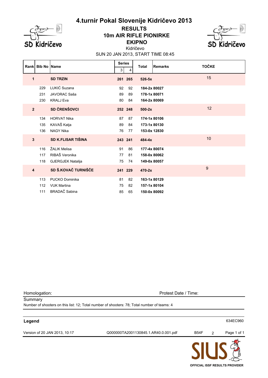

### **EKIPNO 10m AIR RIFLE PIONIRKE RESULTS**



SUN 20 JAN 2013, START TIME 08:45 Kidričevo

| Rankl                   | <b>Bib No Name</b> |                           | <b>Series</b> |         | <b>Total</b> | <b>Remarks</b> | <b>TOČKE</b> |
|-------------------------|--------------------|---------------------------|---------------|---------|--------------|----------------|--------------|
|                         |                    |                           | 3             | 4       |              |                |              |
| 1                       |                    | <b>SD TRZIN</b>           |               | 261 265 | $526 - 5x$   |                | 15           |
|                         | 229                | LUKIĆ Suzana              | 92            | 92      |              | 184-2x 80027   |              |
|                         | 231                | JAVORAC Saša              | 89            | 89      | 178-1x 80071 |                |              |
|                         | 230                | <b>KRALJ Eva</b>          | 80            | 84      |              | 164-2x 80069   |              |
| $\overline{2}$          |                    | <b>SD ČRENŠOVCI</b>       |               | 252 248 | $500-2x$     |                | 12           |
|                         | 134                | <b>HORVAT Nika</b>        | 87            | 87      |              | 174-1x 80106   |              |
|                         | 135                | KAVAŠ Katja               | 89            | 84      |              | 173-1x 80130   |              |
|                         | 136                | <b>NAGY Nika</b>          | 76            | 77      |              | 153-0x 12830   |              |
| $\mathbf{3}$            |                    | <b>SD K.FLISAR TIŠINA</b> | 243 241       |         | $484 - 4x$   |                | 10           |
|                         | 116                | ŽALIK Melisa              | 91            | 86      |              | 177-4x 80074   |              |
|                         | 117                | RIBAŠ Veronika            | 77            | 81      |              | 158-0x 80062   |              |
|                         | 118                | <b>GJERGJEK Natalija</b>  | 75            | 74      |              | 149-0x 80057   |              |
| $\overline{\mathbf{4}}$ |                    | SD Š.KOVAČ TURNIŠČE       |               | 241 229 | $470-2x$     |                | 9            |
|                         | 113                | PUCKO Dominika            | 81            | 82      |              | 163-1x 80129   |              |
|                         | 112                | <b>VUK Martina</b>        | 75            | 82      |              | 157-1x 80104   |              |
|                         | 111                | BRADAČ Sabina             | 85            | 65      |              | 150-0x 80092   |              |

Homologation: Protest Date / Time:

**Summary** Number of shooters on this list: 12; Total number of shooters: 78; Total number of teams: 4

#### **Legend** 634EC960

Version of 20 JAN 2013, 10:17 Q000000TA2001130845.1.AR40.0.001.pdf B54F 2 Page 1 of 1

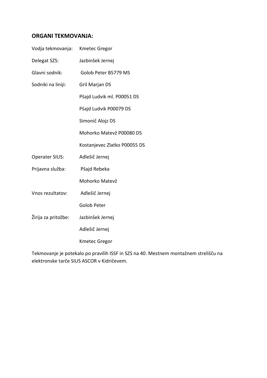# **ORGANI TEKMOVANJA:**

| Vodja tekmovanja:     | <b>Kmetec Gregor</b>         |
|-----------------------|------------------------------|
| Delegat SZS:          | Jazbinšek Jernej             |
| Glavni sodnik:        | Golob Peter B5779 MS         |
| Sodniki na liniji:    | Gril Marjan DS               |
|                       | Pšajd Ludvik ml. P00051 DS   |
|                       | Pšajd Ludvik P00079 DS       |
|                       | Simonič Alojz DS             |
|                       | Mohorko Matevž P00080 DS     |
|                       | Kostanjevec Zlatko P00055 DS |
| <b>Operater SIUS:</b> | Adlešič Jernej               |
| Prijavna služba:      | Pšajd Rebeka                 |
|                       | Mohorko Matevž               |
| Vnos rezultatov:      | Adlešič Jernej               |
|                       | <b>Golob Peter</b>           |
| Žirija za pritožbe:   | Jazbinšek Jernej             |
|                       | Adlešič Jernej               |
|                       | <b>Kmetec Gregor</b>         |
|                       |                              |

Tekmovanje je potekalo po pravilih ISSF in SZS na 40. Mestnem montažnem strelišču na elektronske tarče SIUS ASCOR v Kidričevem.